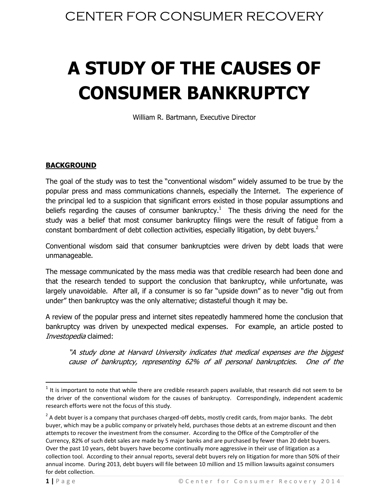# **A STUDY OF THE CAUSES OF CONSUMER BANKRUPTCY**

William R. Bartmann, Executive Director

### **BACKGROUND**

The goal of the study was to test the "conventional wisdom" widely assumed to be true by the popular press and mass communications channels, especially the Internet. The experience of the principal led to a suspicion that significant errors existed in those popular assumptions and beliefs regarding the causes of consumer bankruptcy.<sup>1</sup> The thesis driving the need for the study was a belief that most consumer bankruptcy filings were the result of fatigue from a constant bombardment of debt collection activities, especially litigation, by debt buyers.<sup>2</sup>

Conventional wisdom said that consumer bankruptcies were driven by debt loads that were unmanageable.

The message communicated by the mass media was that credible research had been done and that the research tended to support the conclusion that bankruptcy, while unfortunate, was largely unavoidable. After all, if a consumer is so far "upside down" as to never "dig out from under" then bankruptcy was the only alternative; distasteful though it may be.

A review of the popular press and internet sites repeatedly hammered home the conclusion that bankruptcy was driven by unexpected medical expenses. For example, an article posted to Investopedia claimed:

"A study done at Harvard University indicates that medical expenses are the biggest cause of bankruptcy, representing 62% of all personal bankruptcies. One of the

 $\overline{\phantom{a}}$ 

 $<sup>1</sup>$  It is important to note that while there are credible research papers available, that research did not seem to be</sup> the driver of the conventional wisdom for the causes of bankruptcy. Correspondingly, independent academic research efforts were not the focus of this study.

 $^2$  A debt buyer is a company that purchases charged-off debts, mostly credit cards, from major banks. The debt buyer, which may be a public company or privately held, purchases those debts at an extreme discount and then attempts to recover the investment from the consumer. According to the Office of the Comptroller of the Currency, 82% of such debt sales are made by 5 major banks and are purchased by fewer than 20 debt buyers. Over the past 10 years, debt buyers have become continually more aggressive in their use of litigation as a collection tool. According to their annual reports, several debt buyers rely on litigation for more than 50% of their annual income. During 2013, debt buyers will file between 10 million and 15 million lawsuits against consumers for debt collection.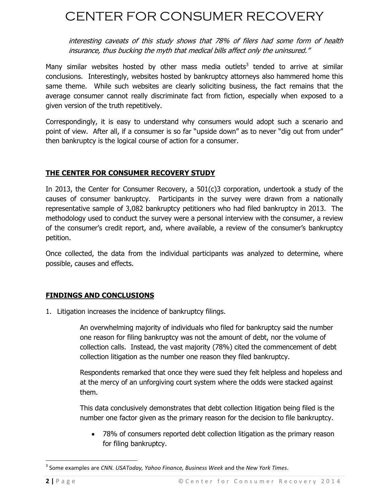interesting caveats of this study shows that 78% of filers had some form of health insurance, thus bucking the myth that medical bills affect only the uninsured."

Many similar websites hosted by other mass media outlets<sup>3</sup> tended to arrive at similar conclusions. Interestingly, websites hosted by bankruptcy attorneys also hammered home this same theme. While such websites are clearly soliciting business, the fact remains that the average consumer cannot really discriminate fact from fiction, especially when exposed to a given version of the truth repetitively.

Correspondingly, it is easy to understand why consumers would adopt such a scenario and point of view. After all, if a consumer is so far "upside down" as to never "dig out from under" then bankruptcy is the logical course of action for a consumer.

### **THE CENTER FOR CONSUMER RECOVERY STUDY**

In 2013, the Center for Consumer Recovery, a 501(c)3 corporation, undertook a study of the causes of consumer bankruptcy. Participants in the survey were drawn from a nationally representative sample of 3,082 bankruptcy petitioners who had filed bankruptcy in 2013. The methodology used to conduct the survey were a personal interview with the consumer, a review of the consumer's credit report, and, where available, a review of the consumer's bankruptcy petition.

Once collected, the data from the individual participants was analyzed to determine, where possible, causes and effects.

### **FINDINGS AND CONCLUSIONS**

1. Litigation increases the incidence of bankruptcy filings.

An overwhelming majority of individuals who filed for bankruptcy said the number one reason for filing bankruptcy was not the amount of debt, nor the volume of collection calls. Instead, the vast majority (78%) cited the commencement of debt collection litigation as the number one reason they filed bankruptcy.

Respondents remarked that once they were sued they felt helpless and hopeless and at the mercy of an unforgiving court system where the odds were stacked against them.

This data conclusively demonstrates that debt collection litigation being filed is the number one factor given as the primary reason for the decision to file bankruptcy.

 78% of consumers reported debt collection litigation as the primary reason for filing bankruptcy.

 $\overline{\phantom{a}}$ 

<sup>3</sup> Some examples are *CNN. USAToday, Yahoo Finance, Business Week* and the *New York Times*.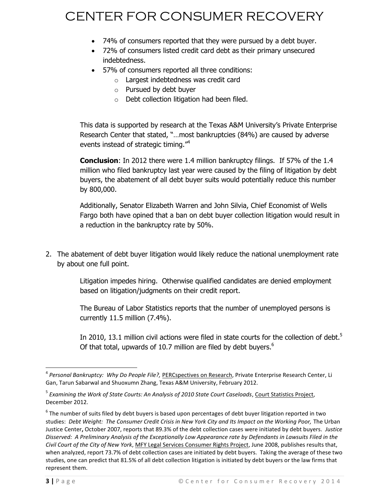- 74% of consumers reported that they were pursued by a debt buyer.
- 72% of consumers listed credit card debt as their primary unsecured indebtedness.
- 57% of consumers reported all three conditions:
	- o Largest indebtedness was credit card
	- o Pursued by debt buyer
	- o Debt collection litigation had been filed.

This data is supported by research at the Texas A&M University's Private Enterprise Research Center that stated, "…most bankruptcies (84%) are caused by adverse events instead of strategic timing."<sup>4</sup>

**Conclusion**: In 2012 there were 1.4 million bankruptcy filings. If 57% of the 1.4 million who filed bankruptcy last year were caused by the filing of litigation by debt buyers, the abatement of all debt buyer suits would potentially reduce this number by 800,000.

Additionally, Senator Elizabeth Warren and John Silvia, Chief Economist of Wells Fargo both have opined that a ban on debt buyer collection litigation would result in a reduction in the bankruptcy rate by 50%.

2. The abatement of debt buyer litigation would likely reduce the national unemployment rate by about one full point.

> Litigation impedes hiring. Otherwise qualified candidates are denied employment based on litigation/judgments on their credit report.

> The Bureau of Labor Statistics reports that the number of unemployed persons is currently 11.5 million (7.4%).

In 2010, 13.1 million civil actions were filed in state courts for the collection of debt.<sup>5</sup> Of that total, upwards of 10.7 million are filed by debt buyers. $6$ 

 4 *Personal Bankruptcy: Why Do People File?,* PERCspectives on Research, Private Enterprise Research Center, Li Gan, Tarun Sabarwal and Shuoxumn Zhang, Texas A&M University, February 2012.

<sup>&</sup>lt;sup>5</sup> Examining the Work of State Courts: An Analysis of 2010 State Court Caseloads, <u>Court Statistics Project</u>, December 2012.

 $^6$  The number of suits filed by debt buyers is based upon percentages of debt buyer litigation reported in two studies: *Debt Weight: The Consumer Credit Crisis in New York City and Its Impact on the Working Poor, The Urban* Justice Center**,** October 2007, reports that 89.3% of the debt collection cases were initiated by debt buyers. *Justice Disserved: A Preliminary Analysis of the Exceptionally Low Appearance rate by Defendants in Lawsuits Filed in the Civil Court of the City of New York*, MFY Legal Services Consumer Rights Project, June 2008, publishes results that, when analyzed, report 73.7% of debt collection cases are initiated by debt buyers. Taking the average of these two studies, one can predict that 81.5% of all debt collection litigation is initiated by debt buyers or the law firms that represent them.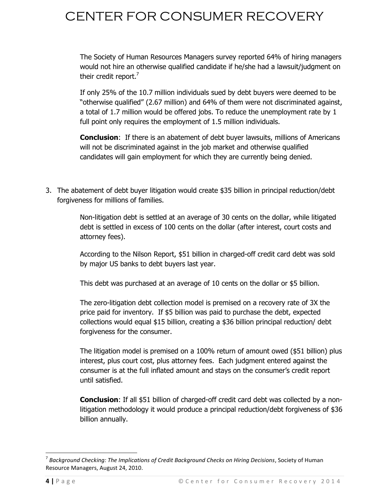The Society of Human Resources Managers survey reported 64% of hiring managers would not hire an otherwise qualified candidate if he/she had a lawsuit/judgment on their credit report.<sup>7</sup>

If only 25% of the 10.7 million individuals sued by debt buyers were deemed to be "otherwise qualified" (2.67 million) and 64% of them were not discriminated against, a total of 1.7 million would be offered jobs. To reduce the unemployment rate by 1 full point only requires the employment of 1.5 million individuals.

**Conclusion**: If there is an abatement of debt buyer lawsuits, millions of Americans will not be discriminated against in the job market and otherwise qualified candidates will gain employment for which they are currently being denied.

3. The abatement of debt buyer litigation would create \$35 billion in principal reduction/debt forgiveness for millions of families.

> Non-litigation debt is settled at an average of 30 cents on the dollar, while litigated debt is settled in excess of 100 cents on the dollar (after interest, court costs and attorney fees).

> According to the Nilson Report, \$51 billion in charged-off credit card debt was sold by major US banks to debt buyers last year.

This debt was purchased at an average of 10 cents on the dollar or \$5 billion.

The zero-litigation debt collection model is premised on a recovery rate of 3X the price paid for inventory. If \$5 billion was paid to purchase the debt, expected collections would equal \$15 billion, creating a \$36 billion principal reduction/ debt forgiveness for the consumer.

The litigation model is premised on a 100% return of amount owed (\$51 billion) plus interest, plus court cost, plus attorney fees. Each judgment entered against the consumer is at the full inflated amount and stays on the consumer's credit report until satisfied.

**Conclusion**: If all \$51 billion of charged-off credit card debt was collected by a nonlitigation methodology it would produce a principal reduction/debt forgiveness of \$36 billion annually.

 $\overline{a}$ 

<sup>7</sup> *Background Checking: The Implications of Credit Background Checks on Hiring Decisions*, Society of Human Resource Managers, August 24, 2010.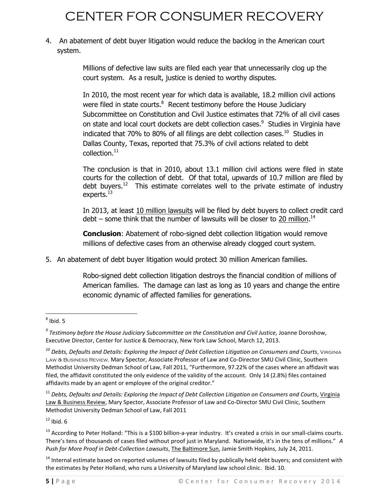4. An abatement of debt buyer litigation would reduce the backlog in the American court system.

> Millions of defective law suits are filed each year that unnecessarily clog up the court system. As a result, justice is denied to worthy disputes.

In 2010, the most recent year for which data is available, 18.2 million civil actions were filed in state courts.<sup>8</sup> Recent testimony before the House Judiciary Subcommittee on Constitution and Civil Justice estimates that 72% of all civil cases on state and local court dockets are debt collection cases.<sup>9</sup> Studies in Virginia have indicated that 70% to 80% of all filings are debt collection cases.<sup>10</sup> Studies in Dallas County, Texas, reported that 75.3% of civil actions related to debt collection.<sup>11</sup>

The conclusion is that in 2010, about 13.1 million civil actions were filed in state courts for the collection of debt. Of that total, upwards of 10.7 million are filed by debt buvers.<sup>12</sup> This estimate correlates well to the private estimate of industry experts.<sup>13</sup>

In 2013, at least 10 million lawsuits will be filed by debt buyers to collect credit card debt – some think that the number of lawsuits will be closer to 20 million.<sup>14</sup>

**Conclusion**: Abatement of robo-signed debt collection litigation would remove millions of defective cases from an otherwise already clogged court system.

5. An abatement of debt buyer litigation would protect 30 million American families.

Robo-signed debt collection litigation destroys the financial condition of millions of American families. The damage can last as long as 10 years and change the entire economic dynamic of affected families for generations.

 $12$  Ibid. 6

 $\overline{\phantom{a}}$  $^8$  Ibid. 5

<sup>&</sup>lt;sup>9</sup> Testimony before the House Judiciary Subcommittee on the Constitution and Civil Justice, Joanne Doroshow, Executive Director, Center for Justice & Democracy, New York Law School, March 12, 2013.

*<sup>10</sup> Debts, Defaults and Details: Exploring the Impact of Debt Collection Litigation on Consumers and Courts*, Virginia Law & Business Review, Mary Spector, Associate Professor of Law and Co-Director SMU Civil Clinic, Southern Methodist University Dedman School of Law, Fall 2011, "Furthermore, 97.22% of the cases where an affidavit was filed, the affidavit constituted the only evidence of the validity of the account. Only 14 (2.8%) files contained affidavits made by an agent or employee of the original creditor."

<sup>&</sup>lt;sup>11</sup> Debts, Defaults and Details: Exploring the Impact of Debt Collection Litigation on Consumers and Courts, Virginia Law & Business Review, Mary Spector, Associate Professor of Law and Co-Director SMU Civil Clinic, Southern Methodist University Dedman School of Law, Fall 2011

<sup>&</sup>lt;sup>13</sup> According to Peter Holland: "This is a \$100 billion-a-year industry. It's created a crisis in our small-claims courts. There's tens of thousands of cases filed without proof just in Maryland. Nationwide, it's in the tens of millions." *A Push for More Proof in Debt-Collection Lawsuits*, The Baltimore Sun, Jamie Smith Hopkins, July 24, 2011.

<sup>&</sup>lt;sup>14</sup> Internal estimate based on reported volumes of lawsuits filed by publically held debt buyers; and consistent with the estimates by Peter Holland, who runs a University of Maryland law school clinic. Ibid. 10.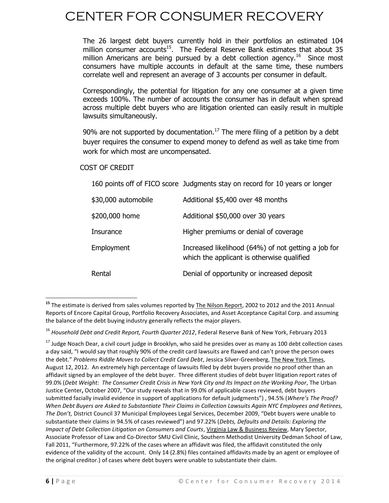The 26 largest debt buyers currently hold in their portfolios an estimated 104 million consumer accounts<sup>15</sup>. The Federal Reserve Bank estimates that about 35 million Americans are being pursued by a debt collection agency.<sup>16</sup> Since most consumers have multiple accounts in default at the same time, these numbers correlate well and represent an average of 3 accounts per consumer in default.

Correspondingly, the potential for litigation for any one consumer at a given time exceeds 100%. The number of accounts the consumer has in default when spread across multiple debt buyers who are litigation oriented can easily result in multiple lawsuits simultaneously.

90% are not supported by documentation.<sup>17</sup> The mere filing of a petition by a debt buyer requires the consumer to expend money to defend as well as take time from work for which most are uncompensated.

### COST OF CREDIT

160 points off of FICO score Judgments stay on record for 10 years or longer

| \$30,000 automobile | Additional \$5,400 over 48 months                                                                 |
|---------------------|---------------------------------------------------------------------------------------------------|
| \$200,000 home      | Additional \$50,000 over 30 years                                                                 |
| Insurance           | Higher premiums or denial of coverage                                                             |
| Employment          | Increased likelihood (64%) of not getting a job for<br>which the applicant is otherwise qualified |
| Rental              | Denial of opportunity or increased deposit                                                        |

 $\overline{\phantom{a}}$ <sup>15</sup> The estimate is derived from sales volumes reported by The Nilson Report, 2002 to 2012 and the 2011 Annual Reports of Encore Capital Group, Portfolio Recovery Associates, and Asset Acceptance Capital Corp. and assuming the balance of the debt buying industry generally reflects the major players.

<sup>16</sup> *Household Debt and Credit Report, Fourth Quarter 2012*, Federal Reserve Bank of New York, February 2013

 $17$  Judge Noach Dear, a civil court judge in Brooklyn, who said he presides over as many as 100 debt collection cases a day said, "I would say that roughly 90% of the credit card lawsuits are flawed and can't prove the person owes the debt." *Problems Riddle Moves to Collect Credit Card Debt*, Jessica Silver-Greenberg, The New York Times, August 12, 2012. An extremely high percentage of lawsuits filed by debt buyers provide no proof other than an affidavit signed by an employee of the debt buyer. Three different studies of debt buyer litigation report rates of 99.0% (*Debt Weight: The Consumer Credit Crisis in New York City and Its Impact on the Working Poor*, The Urban Justice Center**,** October 2007, "Our study reveals that in 99.0% of applicable cases reviewed, debt buyers submitted facially invalid evidence in support of applications for default judgments") , 94.5% (*Where's The Proof? When Debt Buyers are Asked to Substantiate Their Claims in Collection Lawsuits Again NYC Employees and Retirees, The Don't,* District Council 37 Municipal Employees Legal Services, December 2009, "Debt buyers were unable to substantiate their claims in 94.5% of cases reviewed") and 97.22% (*Debts, Defaults and Details: Exploring the Impact of Debt Collection Litigation on Consumers and Courts*, Virginia Law & Business Review, Mary Spector, Associate Professor of Law and Co-Director SMU Civil Clinic, Southern Methodist University Dedman School of Law, Fall 2011, "Furthermore, 97.22% of the cases where an affidavit was filed, the affidavit constituted the only evidence of the validity of the account. Only 14 (2.8%) files contained affidavits made by an agent or employee of the original creditor.) of cases where debt buyers were unable to substantiate their claim.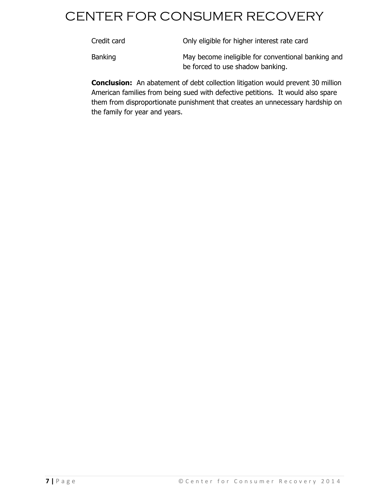| Credit card | Only eligible for higher interest rate card        |
|-------------|----------------------------------------------------|
| Banking     | May become ineligible for conventional banking and |

**Conclusion:** An abatement of debt collection litigation would prevent 30 million American families from being sued with defective petitions. It would also spare them from disproportionate punishment that creates an unnecessary hardship on the family for year and years.

be forced to use shadow banking.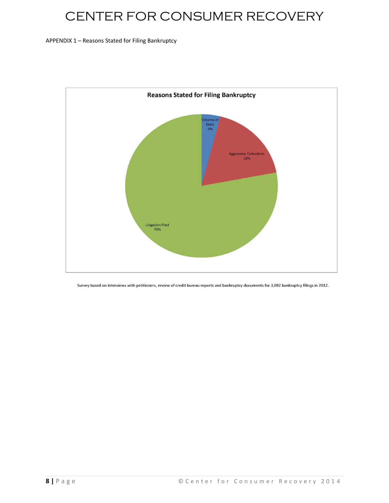APPENDIX 1 – Reasons Stated for Filing Bankruptcy



Survey based on interviews with petitioners, review of credit bureau reports and bankruptcy documents for 3,082 bankruptcy filings in 2012.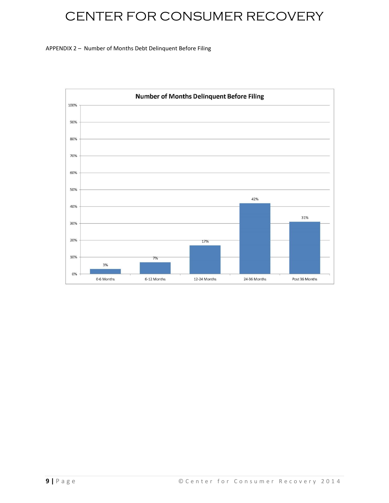#### APPENDIX 2 – Number of Months Debt Delinquent Before Filing

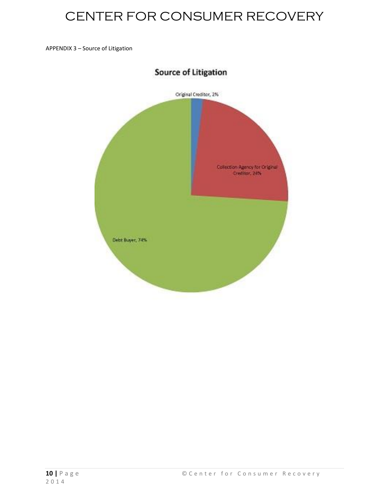APPENDIX 3 – Source of Litigation

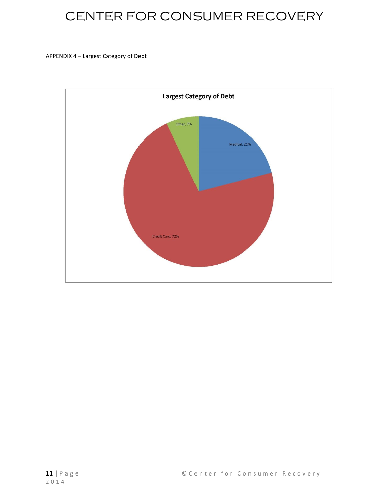#### APPENDIX 4 – Largest Category of Debt

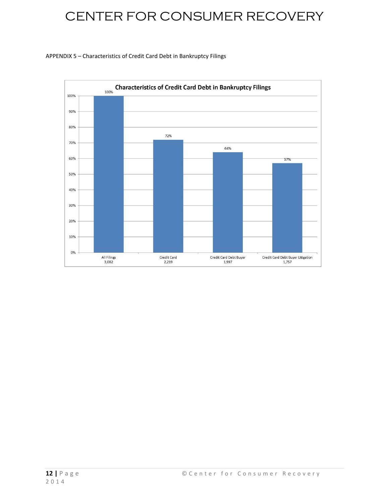#### APPENDIX 5 – Characteristics of Credit Card Debt in Bankruptcy Filings

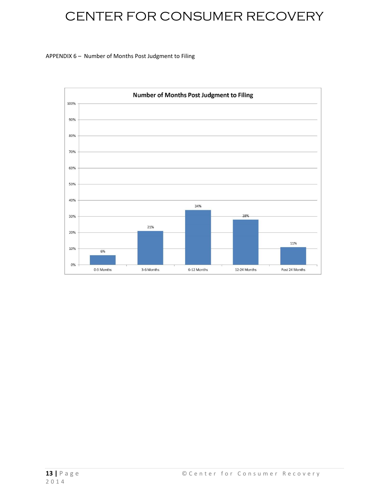#### APPENDIX 6 – Number of Months Post Judgment to Filing